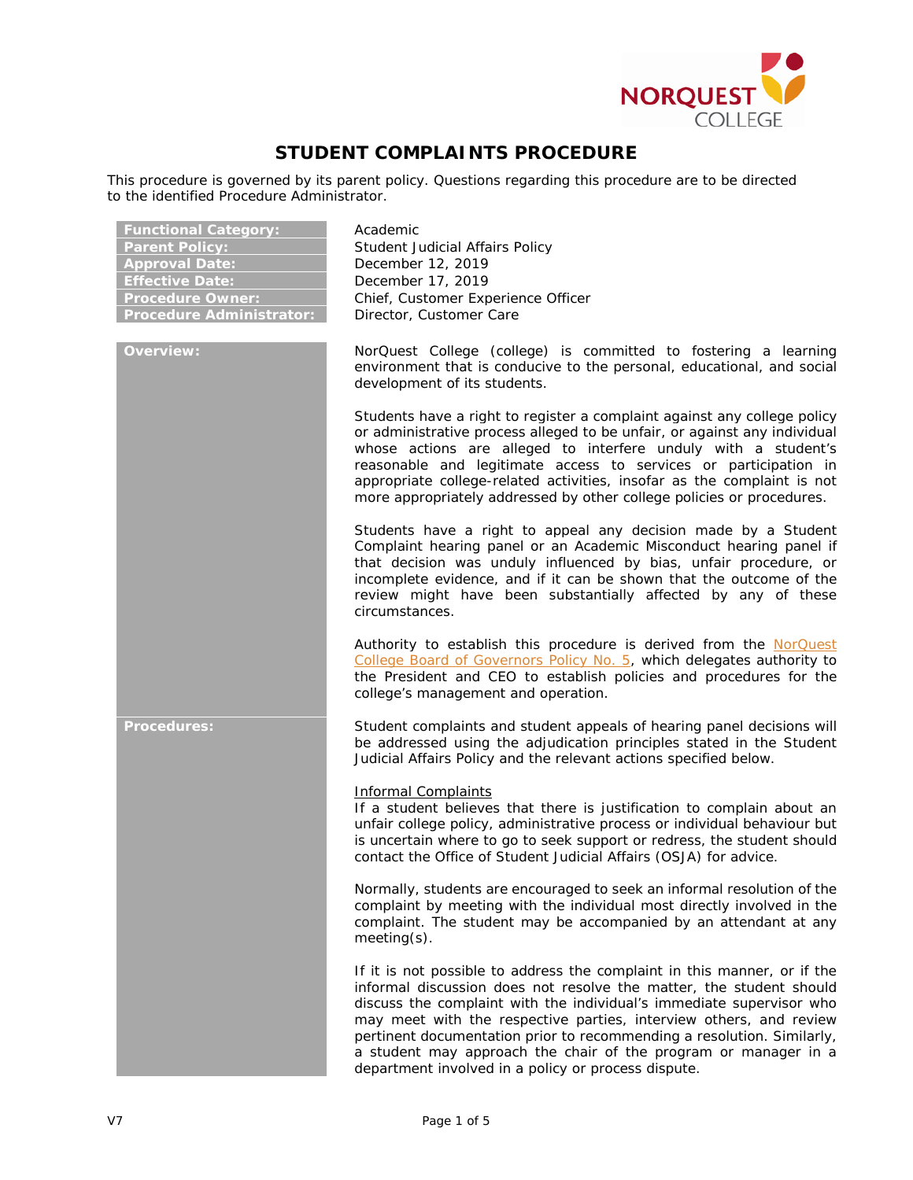

# **STUDENT COMPLAINTS PROCEDURE**

This procedure is governed by its parent policy. Questions regarding this procedure are to be directed to the identified Procedure Administrator.

| <b>Functional Category:</b><br><b>Parent Policy:</b><br><b>Approval Date:</b><br><b>Effective Date:</b><br><b>Procedure Owner:</b><br><b>Procedure Administrator:</b> | Academic<br>Student Judicial Affairs Policy<br>December 12, 2019<br>December 17, 2019<br>Chief, Customer Experience Officer<br>Director, Customer Care                                                                                                                                                                                                                                                                                                                                            |
|-----------------------------------------------------------------------------------------------------------------------------------------------------------------------|---------------------------------------------------------------------------------------------------------------------------------------------------------------------------------------------------------------------------------------------------------------------------------------------------------------------------------------------------------------------------------------------------------------------------------------------------------------------------------------------------|
| <b>Overview:</b>                                                                                                                                                      | NorQuest College (college) is committed to fostering a learning<br>environment that is conducive to the personal, educational, and social<br>development of its students.                                                                                                                                                                                                                                                                                                                         |
|                                                                                                                                                                       | Students have a right to register a complaint against any college policy<br>or administrative process alleged to be unfair, or against any individual<br>whose actions are alleged to interfere unduly with a student's<br>reasonable and legitimate access to services or participation in<br>appropriate college-related activities, insofar as the complaint is not<br>more appropriately addressed by other college policies or procedures.                                                   |
|                                                                                                                                                                       | Students have a right to appeal any decision made by a Student<br>Complaint hearing panel or an Academic Misconduct hearing panel if<br>that decision was unduly influenced by bias, unfair procedure, or<br>incomplete evidence, and if it can be shown that the outcome of the<br>review might have been substantially affected by any of these<br>circumstances.                                                                                                                               |
|                                                                                                                                                                       | Authority to establish this procedure is derived from the NorQuest<br>College Board of Governors Policy No. 5, which delegates authority to<br>the President and CEO to establish policies and procedures for the<br>college's management and operation.                                                                                                                                                                                                                                          |
| <b>Procedures:</b>                                                                                                                                                    | Student complaints and student appeals of hearing panel decisions will<br>be addressed using the adjudication principles stated in the Student<br>Judicial Affairs Policy and the relevant actions specified below.                                                                                                                                                                                                                                                                               |
|                                                                                                                                                                       | <b>Informal Complaints</b><br>If a student believes that there is justification to complain about an<br>unfair college policy, administrative process or individual behaviour but<br>is uncertain where to go to seek support or redress, the student should<br>contact the Office of Student Judicial Affairs (OSJA) for advice.                                                                                                                                                                 |
|                                                                                                                                                                       | Normally, students are encouraged to seek an informal resolution of the<br>complaint by meeting with the individual most directly involved in the<br>complaint. The student may be accompanied by an attendant at any<br>$meeting(s)$ .                                                                                                                                                                                                                                                           |
|                                                                                                                                                                       | If it is not possible to address the complaint in this manner, or if the<br>informal discussion does not resolve the matter, the student should<br>discuss the complaint with the individual's immediate supervisor who<br>may meet with the respective parties, interview others, and review<br>pertinent documentation prior to recommending a resolution. Similarly,<br>a student may approach the chair of the program or manager in a<br>department involved in a policy or process dispute. |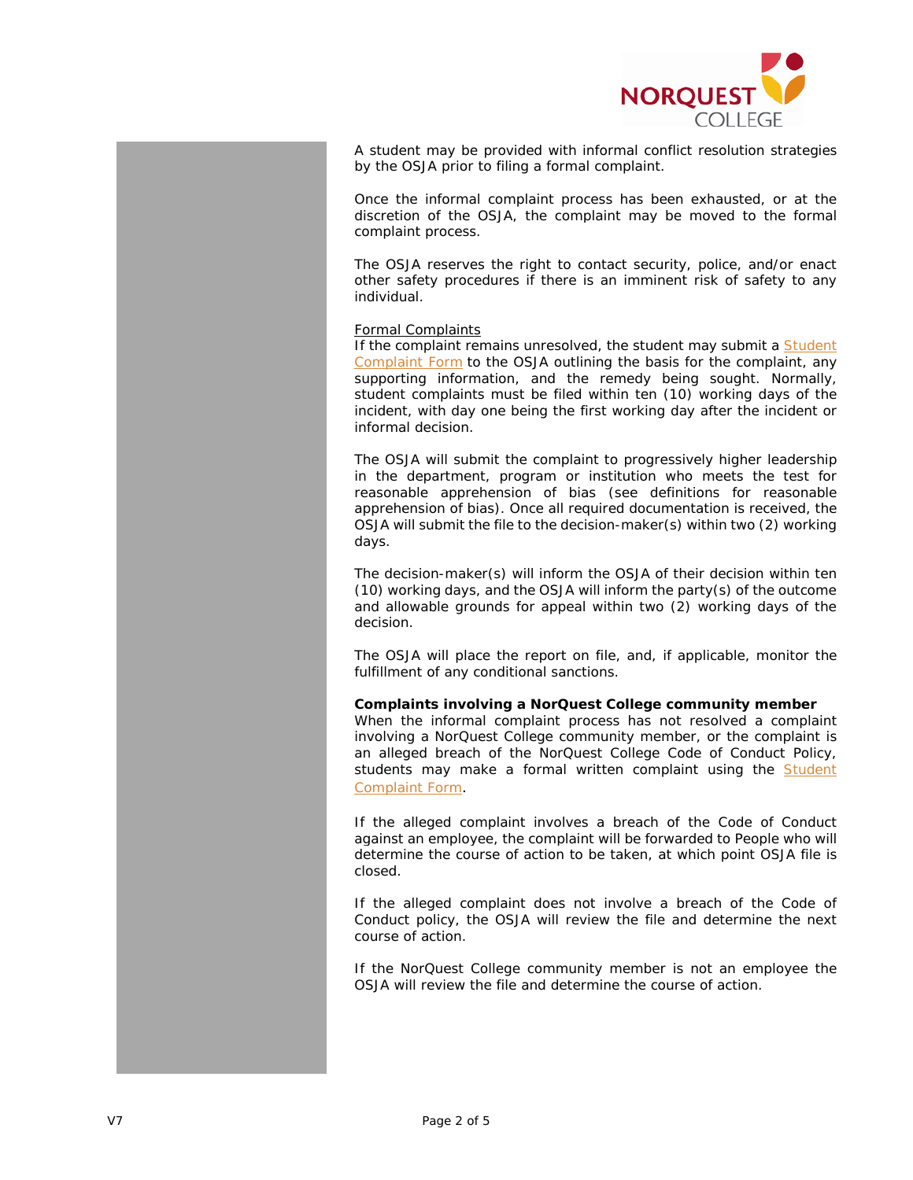

A student may be provided with informal conflict resolution strategies by the OSJA prior to filing a formal complaint.

Once the informal complaint process has been exhausted, or at the discretion of the OSJA, the complaint may be moved to the formal complaint process.

The OSJA reserves the right to contact security, police, and/or enact other safety procedures if there is an imminent risk of safety to any individual.

#### Formal Complaints

If the complaint remains unresolved, the student may submit a Student [Complaint Form](https://www.norquest.ca/NorquestCollege/media/pdf/Judicial%20Affairs/student-complaint-report-form.pdf) to the OSJA outlining the basis for the complaint, any supporting information, and the remedy being sought. Normally, student complaints must be filed within ten (10) working days of the incident, with day one being the first working day after the incident or informal decision.

The OSJA will submit the complaint to progressively higher leadership in the department, program or institution who meets the test for reasonable apprehension of bias (see definitions for reasonable apprehension of bias). Once all required documentation is received, the OSJA will submit the file to the decision-maker(s) within two (2) working days.

The decision-maker(s) will inform the OSJA of their decision within ten (10) working days, and the OSJA will inform the party(s) of the outcome and allowable grounds for appeal within two (2) working days of the decision.

The OSJA will place the report on file, and, if applicable, monitor the fulfillment of any conditional sanctions.

### **Complaints involving a NorQuest College community member**

When the informal complaint process has not resolved a complaint involving a NorQuest College community member, or the complaint is an alleged breach of the NorQuest College Code of Conduct Policy, students may make a formal written complaint using the Student [Complaint Form](https://www.norquest.ca/NorquestCollege/media/pdf/Judicial%20Affairs/student-complaint-report-form.pdf).

If the alleged complaint involves a breach of the Code of Conduct against an employee, the complaint will be forwarded to People who will determine the course of action to be taken, at which point OSJA file is closed.

If the alleged complaint does not involve a breach of the Code of Conduct policy, the OSJA will review the file and determine the next course of action.

If the NorQuest College community member is not an employee the OSJA will review the file and determine the course of action.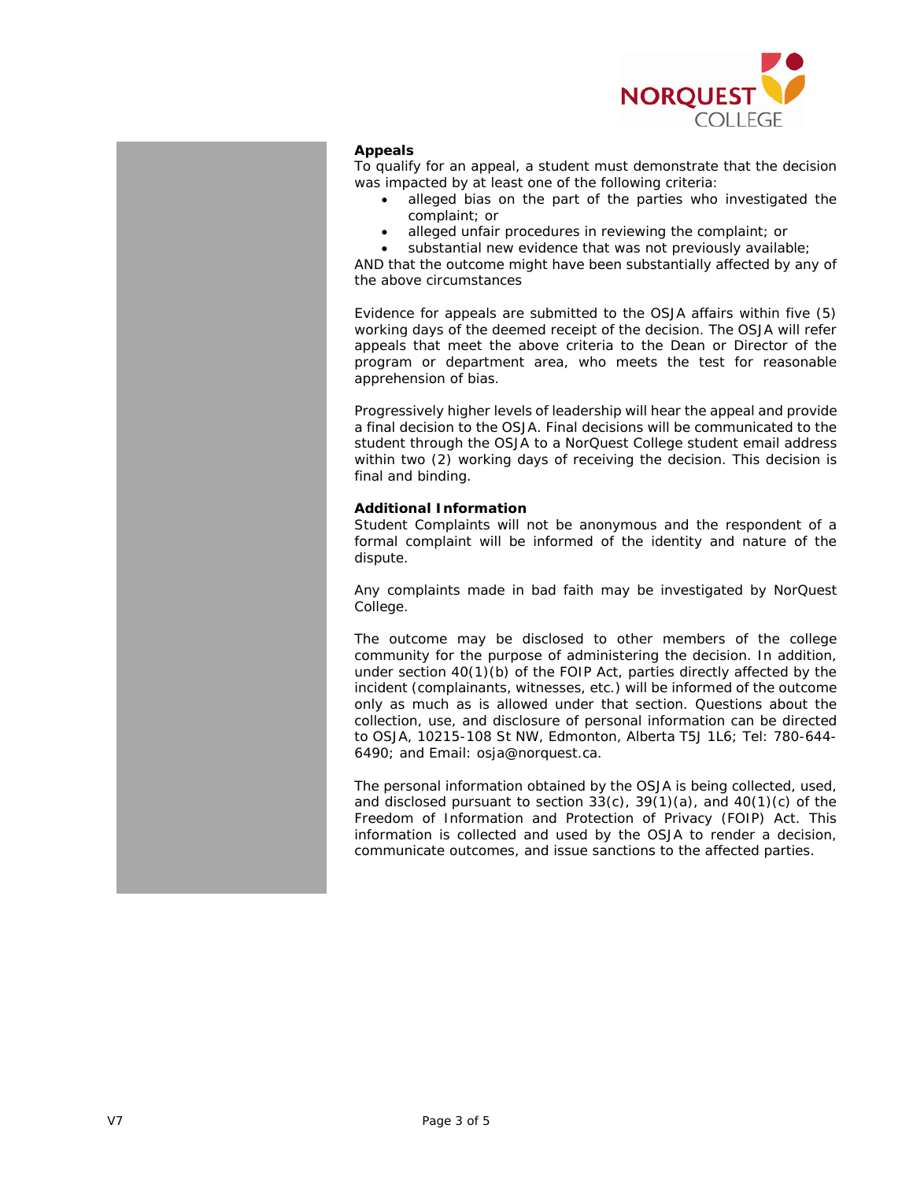

## **Appeals**

To qualify for an appeal, a student must demonstrate that the decision was impacted by at least one of the following criteria:

- alleged bias on the part of the parties who investigated the complaint; or
- alleged unfair procedures in reviewing the complaint; or
- substantial new evidence that was not previously available;

AND that the outcome might have been substantially affected by any of the above circumstances

Evidence for appeals are submitted to the OSJA affairs within five (5) working days of the deemed receipt of the decision. The OSJA will refer appeals that meet the above criteria to the Dean or Director of the program or department area, who meets the test for reasonable apprehension of bias.

Progressively higher levels of leadership will hear the appeal and provide a final decision to the OSJA. Final decisions will be communicated to the student through the OSJA to a NorQuest College student email address within two (2) working days of receiving the decision. This decision is final and binding.

### **Additional Information**

Student Complaints will not be anonymous and the respondent of a formal complaint will be informed of the identity and nature of the dispute.

Any complaints made in bad faith may be investigated by NorQuest College.

The outcome may be disclosed to other members of the college community for the purpose of administering the decision. In addition, under section 40(1)(b) of the FOIP Act, parties directly affected by the incident (complainants, witnesses, etc.) will be informed of the outcome only as much as is allowed under that section. Questions about the collection, use, and disclosure of personal information can be directed to OSJA, 10215-108 St NW, Edmonton, Alberta T5J 1L6; Tel: 780-644- 6490; and Email: osja@norquest.ca.

The personal information obtained by the OSJA is being collected, used, and disclosed pursuant to section  $33(c)$ ,  $39(1)(a)$ , and  $40(1)(c)$  of the *Freedom of Information and Protection of Privacy* (FOIP) *Act*. This information is collected and used by the OSJA to render a decision, communicate outcomes, and issue sanctions to the affected parties.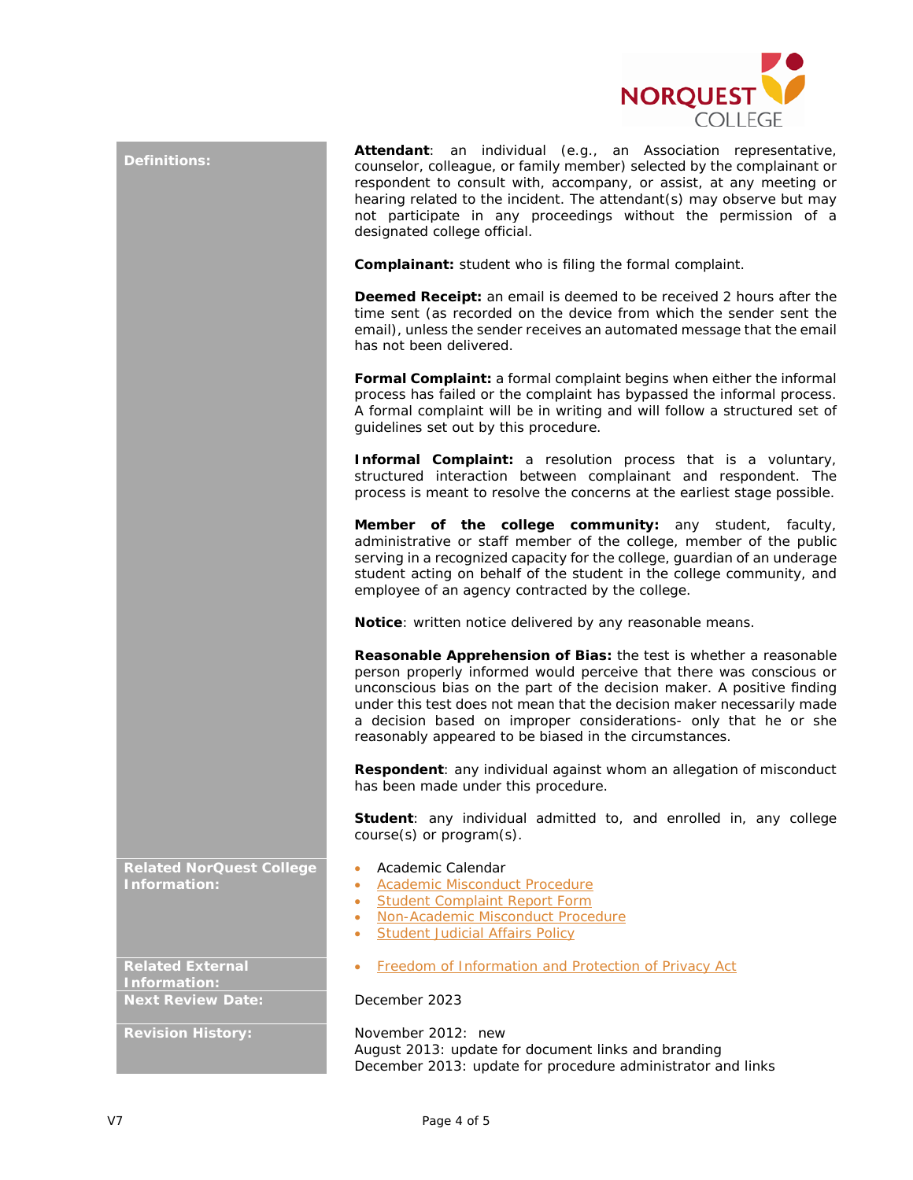

| <b>Definitions:</b>                             | Attendant: an individual (e.g., an Association representative,<br>counselor, colleague, or family member) selected by the complainant or<br>respondent to consult with, accompany, or assist, at any meeting or<br>hearing related to the incident. The attendant(s) may observe but may<br>not participate in any proceedings without the permission of a<br>designated college official.<br><b>Complainant:</b> student who is filing the formal complaint.<br><b>Deemed Receipt:</b> an email is deemed to be received 2 hours after the<br>time sent (as recorded on the device from which the sender sent the<br>email), unless the sender receives an automated message that the email<br>has not been delivered.<br>Formal Complaint: a formal complaint begins when either the informal<br>process has failed or the complaint has bypassed the informal process.<br>A formal complaint will be in writing and will follow a structured set of<br>guidelines set out by this procedure.<br><b>Informal Complaint:</b> a resolution process that is a voluntary,<br>structured interaction between complainant and respondent. The<br>process is meant to resolve the concerns at the earliest stage possible.<br>Member of the college community: any student, faculty,<br>administrative or staff member of the college, member of the public<br>serving in a recognized capacity for the college, guardian of an underage<br>student acting on behalf of the student in the college community, and<br>employee of an agency contracted by the college.<br>Notice: written notice delivered by any reasonable means. |
|-------------------------------------------------|-------------------------------------------------------------------------------------------------------------------------------------------------------------------------------------------------------------------------------------------------------------------------------------------------------------------------------------------------------------------------------------------------------------------------------------------------------------------------------------------------------------------------------------------------------------------------------------------------------------------------------------------------------------------------------------------------------------------------------------------------------------------------------------------------------------------------------------------------------------------------------------------------------------------------------------------------------------------------------------------------------------------------------------------------------------------------------------------------------------------------------------------------------------------------------------------------------------------------------------------------------------------------------------------------------------------------------------------------------------------------------------------------------------------------------------------------------------------------------------------------------------------------------------------------------------------------------------------------------------------------------|
|                                                 | Reasonable Apprehension of Bias: the test is whether a reasonable<br>person properly informed would perceive that there was conscious or<br>unconscious bias on the part of the decision maker. A positive finding<br>under this test does not mean that the decision maker necessarily made<br>a decision based on improper considerations- only that he or she<br>reasonably appeared to be biased in the circumstances.                                                                                                                                                                                                                                                                                                                                                                                                                                                                                                                                                                                                                                                                                                                                                                                                                                                                                                                                                                                                                                                                                                                                                                                                    |
|                                                 | Respondent: any individual against whom an allegation of misconduct<br>has been made under this procedure.<br>Student: any individual admitted to, and enrolled in, any college                                                                                                                                                                                                                                                                                                                                                                                                                                                                                                                                                                                                                                                                                                                                                                                                                                                                                                                                                                                                                                                                                                                                                                                                                                                                                                                                                                                                                                               |
|                                                 | $course(s)$ or $program(s)$ .                                                                                                                                                                                                                                                                                                                                                                                                                                                                                                                                                                                                                                                                                                                                                                                                                                                                                                                                                                                                                                                                                                                                                                                                                                                                                                                                                                                                                                                                                                                                                                                                 |
| <b>Related NorQuest College</b><br>Information: | Academic Calendar<br>٠<br><b>Academic Misconduct Procedure</b><br>٠<br><b>Student Complaint Report Form</b><br>٠<br>Non-Academic Misconduct Procedure<br>۰<br><b>Student Judicial Affairs Policy</b><br>۰                                                                                                                                                                                                                                                                                                                                                                                                                                                                                                                                                                                                                                                                                                                                                                                                                                                                                                                                                                                                                                                                                                                                                                                                                                                                                                                                                                                                                     |
| <b>Related External</b><br>Information:         | <b>Freedom of Information and Protection of Privacy Act</b><br>۰                                                                                                                                                                                                                                                                                                                                                                                                                                                                                                                                                                                                                                                                                                                                                                                                                                                                                                                                                                                                                                                                                                                                                                                                                                                                                                                                                                                                                                                                                                                                                              |
| <b>Next Review Date:</b>                        | December 2023                                                                                                                                                                                                                                                                                                                                                                                                                                                                                                                                                                                                                                                                                                                                                                                                                                                                                                                                                                                                                                                                                                                                                                                                                                                                                                                                                                                                                                                                                                                                                                                                                 |
| <b>Revision History:</b>                        | November 2012: new<br>August 2013: update for document links and branding<br>December 2013: update for procedure administrator and links                                                                                                                                                                                                                                                                                                                                                                                                                                                                                                                                                                                                                                                                                                                                                                                                                                                                                                                                                                                                                                                                                                                                                                                                                                                                                                                                                                                                                                                                                      |